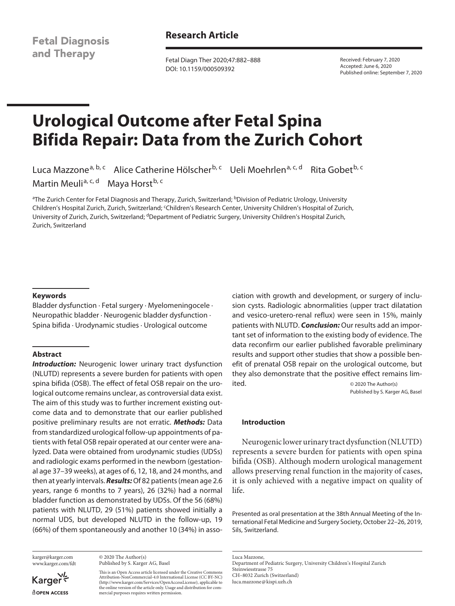**Fetal Diagnosis** and Therapy

# **Research Article**

Fetal Diagn Ther 2020;47:882–888 DOI: 10.1159/000509392

Received: February 7, 2020 Accepted: June 6, 2020 Published online: September 7, 2020

# **Urological Outcome after Fetal Spina Bifida Repair: Data from the Zurich Cohort**

Luca Mazzone<sup>a, b, c</sup> Alice Catherine Hölscher<sup>b, c</sup> Ueli Moehrlen<sup>a, c, d</sup> Rita Gobet<sup>b, c</sup>

Martin Meuli<sup>a, c, d</sup> Maya Horst<sup>b, c</sup>

<sup>a</sup>The Zurich Center for Fetal Diagnosis and Therapy, Zurich, Switzerland; <sup>b</sup>Division of Pediatric Urology, University Children's Hospital Zurich, Zurich, Switzerland; 'Children's Research Center, University Children's Hospital of Zurich, University of Zurich, Zurich, Switzerland; <sup>d</sup>Department of Pediatric Surgery, University Children's Hospital Zurich, Zurich, Switzerland

#### **Keywords**

Bladder dysfunction · Fetal surgery · Myelomeningocele · Neuropathic bladder · Neurogenic bladder dysfunction · Spina bifida · Urodynamic studies · Urological outcome

#### **Abstract**

**Introduction:** Neurogenic lower urinary tract dysfunction (NLUTD) represents a severe burden for patients with open spina bifida (OSB). The effect of fetal OSB repair on the urological outcome remains unclear, as controversial data exist. The aim of this study was to further increment existing outcome data and to demonstrate that our earlier published positive preliminary results are not erratic. *Methods:* Data from standardized urological follow-up appointments of patients with fetal OSB repair operated at our center were analyzed. Data were obtained from urodynamic studies (UDSs) and radiologic exams performed in the newborn (gestational age 37–39 weeks), at ages of 6, 12, 18, and 24 months, and then at yearly intervals. *Results:* Of 82 patients (mean age 2.6 years, range 6 months to 7 years), 26 (32%) had a normal bladder function as demonstrated by UDSs. Of the 56 (68%) patients with NLUTD, 29 (51%) patients showed initially a normal UDS, but developed NLUTD in the follow-up, 19 (66%) of them spontaneously and another 10 (34%) in asso-

karger@karger.com www.karger.com/fdt

Karger dopen Access

© 2020 The Author(s) Published by S. Karger AG, Basel

This is an Open Access article licensed under the Creative Commons Attribution-NonCommercial-4.0 International License (CC BY-NC) (http://www.karger.com/Services/OpenAccessLicense), applicable to the online version of the article only. Usage and distribution for commercial purposes requires written permission.

ciation with growth and development, or surgery of inclusion cysts. Radiologic abnormalities (upper tract dilatation and vesico-uretero-renal reflux) were seen in 15%, mainly patients with NLUTD. *Conclusion:* Our results add an important set of information to the existing body of evidence. The data reconfirm our earlier published favorable preliminary results and support other studies that show a possible benefit of prenatal OSB repair on the urological outcome, but they also demonstrate that the positive effect remains limited.  $\bullet$  2020 The Author(s)

Published by S. Karger AG, Basel

#### **Introduction**

Neurogenic lower urinary tract dysfunction (NLUTD) represents a severe burden for patients with open spina bifida (OSB). Although modern urological management allows preserving renal function in the majority of cases, it is only achieved with a negative impact on quality of life.

Presented as oral presentation at the 38th Annual Meeting of the International Fetal Medicine and Surgery Society, October 22–26, 2019, Sils, Switzerland.

Luca Mazzone, Department of Pediatric Surgery, University Children's Hospital Zurich Steinwiesstrasse 75 CH–8032 Zurich (Switzerland) luca.mazzone@kispi.uzh.ch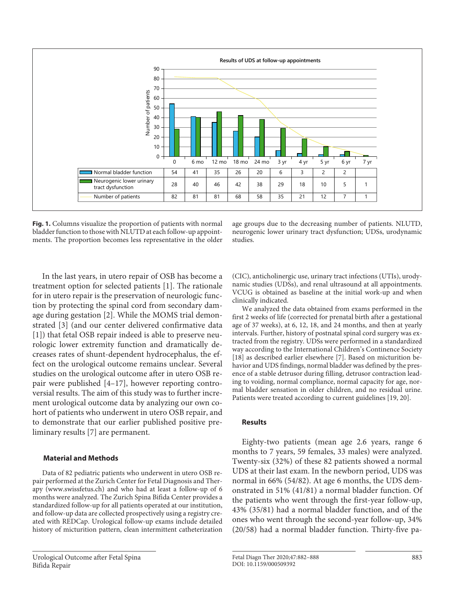

**Fig. 1.** Columns visualize the proportion of patients with normal bladder function to those with NLUTD at each follow-up appointments. The proportion becomes less representative in the older

age groups due to the decreasing number of patients. NLUTD, neurogenic lower urinary tract dysfunction; UDSs, urodynamic studies.

<span id="page-1-2"></span><span id="page-1-1"></span><span id="page-1-0"></span>In the last years, in utero repair of OSB has become a treatment option for selected patients [\[1](#page-6-0)]. The rationale for in utero repair is the preservation of neurologic function by protecting the spinal cord from secondary damage during gestation [\[2](#page-6-1)]. While the MOMS trial demonstrated [\[3\]](#page-6-2) (and our center delivered confirmative data [\[1\]](#page-6-0)) that fetal OSB repair indeed is able to preserve neurologic lower extremity function and dramatically decreases rates of shunt-dependent hydrocephalus, the effect on the urological outcome remains unclear. Several studies on the urological outcome after in utero OSB repair were published [[4–](#page-6-3)[1](#page-6-0)[7](#page-6-4)], however reporting controversial results. The aim of this study was to further increment urological outcome data by analyzing our own cohort of patients who underwent in utero OSB repair, and to demonstrate that our earlier published positive preliminary results [[7](#page-6-4)] are permanent.

#### <span id="page-1-3"></span>**Material and Methods**

Data of 82 pediatric patients who underwent in utero OSB repair performed at the Zurich Center for Fetal Diagnosis and Therapy (www.swissfetus.ch) and who had at least a follow-up of 6 months were analyzed. The Zurich Spina Bifida Center provides a standardized follow-up for all patients operated at our institution, and follow-up data are collected prospectively using a registry created with REDCap. Urological follow-up exams include detailed history of micturition pattern, clean intermittent catheterization (CIC), anticholinergic use, urinary tract infections (UTIs), urodynamic studies (UDSs), and renal ultrasound at all appointments. VCUG is obtained as baseline at the initial work-up and when clinically indicated.

<span id="page-1-4"></span>We analyzed the data obtained from exams performed in the first 2 weeks of life (corrected for prenatal birth after a gestational age of 37 weeks), at 6, 12, 18, and 24 months, and then at yearly intervals. Further, history of postnatal spinal cord surgery was extracted from the registry. UDSs were performed in a standardized way according to the International Children's Continence Society [\[1](#page-6-0)[8](#page-6-5)] as described earlier elsewhere [[7](#page-6-4)]. Based on micturition behavior and UDS findings, normal bladder was defined by the presence of a stable detrusor during filling, detrusor contraction leading to voiding, normal compliance, normal capacity for age, normal bladder sensation in older children, and no residual urine. Patients were treated according to current guidelines [\[1](#page-6-0)[9](#page-6-6), [2](#page-6-1)0].

#### <span id="page-1-5"></span>**Results**

Eighty-two patients (mean age 2.6 years, range 6 months to 7 years, 59 females, 33 males) were analyzed. Twenty-six (32%) of these 82 patients showed a normal UDS at their last exam. In the newborn period, UDS was normal in 66% (54/82). At age 6 months, the UDS demonstrated in 51% (41/81) a normal bladder function. Of the patients who went through the first-year follow-up, 43% (35/81) had a normal bladder function, and of the ones who went through the second-year follow-up, 34% (20/58) had a normal bladder function. Thirty-five pa-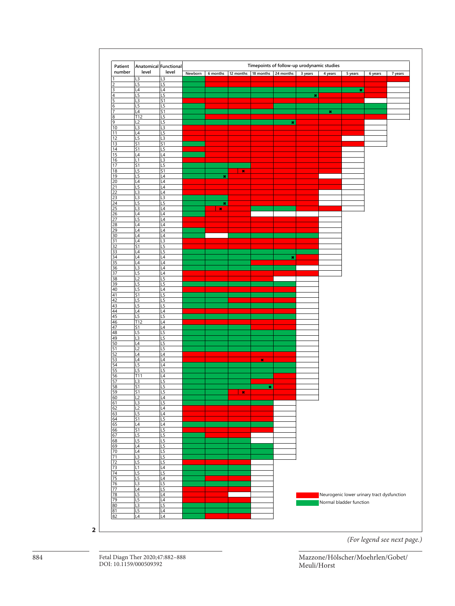

Mazzone/Hölscher/Moehrlen/Gobet/ Meuli/Horst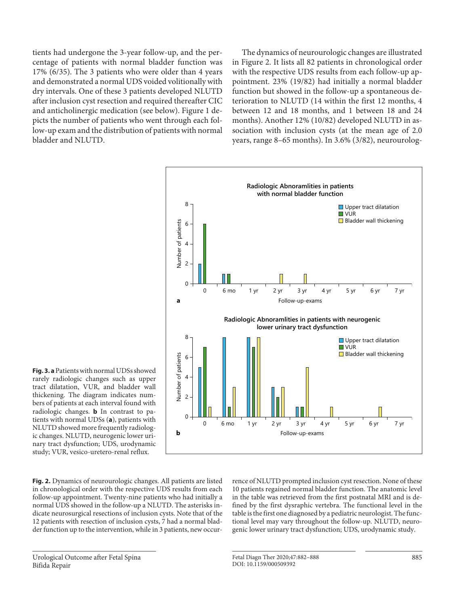tients had undergone the 3-year follow-up, and the percentage of patients with normal bladder function was 17% (6/35). The 3 patients who were older than 4 years and demonstrated a normal UDS voided volitionally with dry intervals. One of these 3 patients developed NLUTD after inclusion cyst resection and required thereafter CIC and anticholinergic medication (see below). Figure 1 depicts the number of patients who went through each follow-up exam and the distribution of patients with normal bladder and NLUTD.

The dynamics of neurourologic changes are illustrated in Figure 2. It lists all 82 patients in chronological order with the respective UDS results from each follow-up appointment. 23% (19/82) had initially a normal bladder function but showed in the follow-up a spontaneous deterioration to NLUTD (14 within the first 12 months, 4 between 12 and 18 months, and 1 between 18 and 24 months). Another 12% (10/82) developed NLUTD in association with inclusion cysts (at the mean age of 2.0 years, range 8–65 months). In 3.6% (3/82), neurourolog-



**Fig. 3. a** Patients with normal UDSs showed rarely radiologic changes such as upper tract dilatation, VUR, and bladder wall thickening. The diagram indicates numbers of patients at each interval found with radiologic changes. **b** In contrast to patients with normal UDSs (**a**), patients with NLUTD showed more frequently radiologic changes. NLUTD, neurogenic lower urinary tract dysfunction; UDS, urodynamic study; VUR, vesico-uretero-renal reflux.

**Fig. 2.** Dynamics of neurourologic changes. All patients are listed in chronological order with the respective UDS results from each follow-up appointment. Twenty-nine patients who had initially a normal UDS showed in the follow-up a NLUTD. The asterisks indicate neurosurgical resections of inclusion cysts. Note that of the 12 patients with resection of inclusion cysts, 7 had a normal bladder function up to the intervention, while in 3 patients, new occurrence of NLUTD prompted inclusion cyst resection. None of these 10 patients regained normal bladder function. The anatomic level in the table was retrieved from the first postnatal MRI and is defined by the first dysraphic vertebra. The functional level in the table is the first one diagnosed by a pediatric neurologist. The functional level may vary throughout the follow-up. NLUTD, neurogenic lower urinary tract dysfunction; UDS, urodynamic study.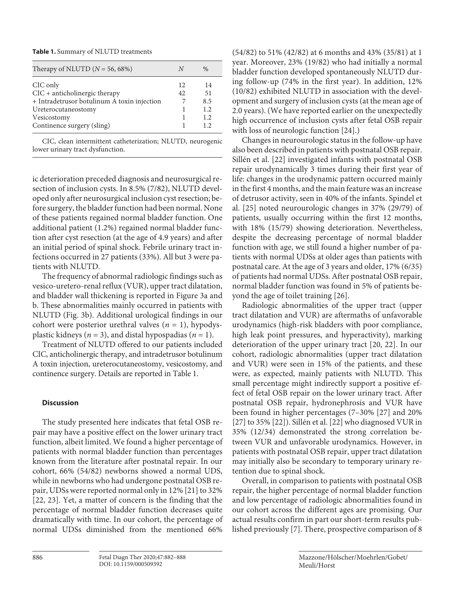#### **Table 1.** Summary of NLUTD treatments

| Therapy of NLUTD ( $N = 56,68\%$ )          |    | $\frac{0}{0}$ |
|---------------------------------------------|----|---------------|
| CIC only                                    | 12 | 14            |
| $CIC + anticholinergic therapy$             | 42 | 51            |
| + Intradetrusor botulinum A toxin injection |    | 8.5           |
| Ureterocutaneostomy                         |    | 1.2.          |
| Vesicostomy                                 |    | 1.2.          |
| Continence surgery (sling)                  |    | 12            |

CIC, clean intermittent catheterization; NLUTD, neurogenic lower urinary tract dysfunction.

ic deterioration preceded diagnosis and neurosurgical resection of inclusion cysts. In 8.5% (7/82), NLUTD developed only after neurosurgical inclusion cyst resection; before surgery, the bladder function had been normal. None of these patients regained normal bladder function. One additional patient (1.2%) regained normal bladder function after cyst resection (at the age of 4.9 years) and after an initial period of spinal shock. Febrile urinary tract infections occurred in 27 patients (33%). All but 3 were patients with NLUTD.

The frequency of abnormal radiologic findings such as vesico-uretero-renal reflux (VUR), upper tract dilatation, and bladder wall thickening is reported in Figure 3a and b. These abnormalities mainly occurred in patients with NLUTD (Fig. 3b). Additional urological findings in our cohort were posterior urethral valves  $(n = 1)$ , hypodysplastic kidneys ( $n = 3$ ), and distal hypospadias ( $n = 1$ ).

Treatment of NLUTD offered to our patients included CIC, anticholinergic therapy, and intradetrusor botulinum A toxin injection, ureterocutaneostomy, vesicostomy, and continence surgery. Details are reported in Table 1.

#### **Discussion**

The study presented here indicates that fetal OSB repair may have a positive effect on the lower urinary tract function, albeit limited. We found a higher percentage of patients with normal bladder function than percentages known from the literature after postnatal repair. In our cohort, 66% (54/82) newborns showed a normal UDS, while in newborns who had undergone postnatal OSB repair, UDSs were reported normal only in 12% [\[2](#page-6-1)[1\]](#page-6-0) to 32% [\[22,](#page-6-1) [2](#page-6-1)[3](#page-6-2)]. Yet, a matter of concern is the finding that the percentage of normal bladder function decreases quite dramatically with time. In our cohort, the percentage of normal UDSs diminished from the mentioned 66%

(54/82) to 51% (42/82) at 6 months and 43% (35/81) at 1 year. Moreover, 23% (19/82) who had initially a normal bladder function developed spontaneously NLUTD during follow-up (74% in the first year). In addition, 12% (10/82) exhibited NLUTD in association with the development and surgery of inclusion cysts (at the mean age of 2.0 years). (We have reported earlier on the unexpectedly high occurrence of inclusion cysts after fetal OSB repair with loss of neurologic function [\[2](#page-6-1)[4\]](#page-6-3).)

Changes in neurourologic status in the follow-up have also been described in patients with postnatal OSB repair. Sillén et al. [[22](#page-6-1)] investigated infants with postnatal OSB repair urodynamically 3 times during their first year of life: changes in the urodynamic pattern occurred mainly in the first 4 months, and the main feature was an increase of detrusor activity, seen in 40% of the infants. Spindel et al. [\[2](#page-6-1)[5\]](#page-6-7) noted neurourologic changes in 37% (29/79) of patients, usually occurring within the first 12 months, with 18% (15/79) showing deterioration. Nevertheless, despite the decreasing percentage of normal bladder function with age, we still found a higher number of patients with normal UDSs at older ages than patients with postnatal care. At the age of 3 years and older, 17% (6/35) of patients had normal UDSs. After postnatal OSB repair, normal bladder function was found in 5% of patients beyond the age of toilet training [[2](#page-6-1)[6](#page-6-8)].

Radiologic abnormalities of the upper tract (upper tract dilatation and VUR) are aftermaths of unfavorable urodynamics (high-risk bladders with poor compliance, high leak point pressures, and hyperactivity), marking deterioration of the upper urinary tract [[20](#page-6-1), [22\]](#page-6-1). In our cohort, radiologic abnormalities (upper tract dilatation and VUR) were seen in 15% of the patients, and these were, as expected, mainly patients with NLUTD. This small percentage might indirectly support a positive effect of fetal OSB repair on the lower urinary tract. After postnatal OSB repair, hydronephrosis and VUR have been found in higher percentages (7–30% [[2](#page-6-1)[7](#page-6-4)] and 20% [[2](#page-6-1)[7](#page-6-4)] to 35% [[22](#page-6-1)]). Sillén et al. [[22](#page-6-1)] who diagnosed VUR in 35% (12/34) demonstrated the strong correlation between VUR and unfavorable urodynamics. However, in patients with postnatal OSB repair, upper tract dilatation may initially also be secondary to temporary urinary retention due to spinal shock.

Overall, in comparison to patients with postnatal OSB repair, the higher percentage of normal bladder function and low percentage of radiologic abnormalities found in our cohort across the different ages are promising. Our actual results confirm in part our short-term results published previously [\[7](#page-6-4)]. There, prospective comparison of 8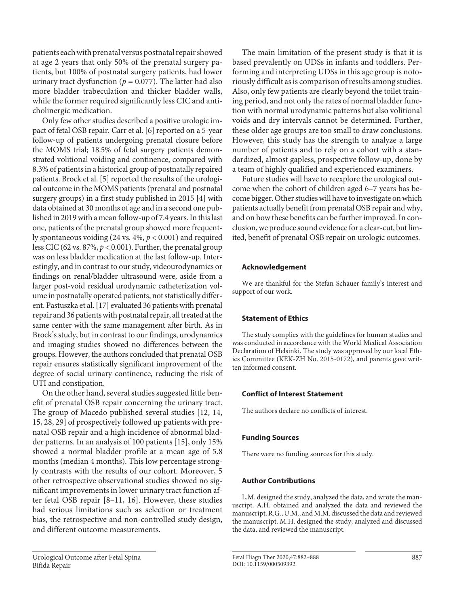patients each with prenatal versus postnatal repair showed at age 2 years that only 50% of the prenatal surgery patients, but 100% of postnatal surgery patients, had lower urinary tract dysfunction ( $p = 0.077$ ). The latter had also more bladder trabeculation and thicker bladder walls, while the former required significantly less CIC and anticholinergic medication.

Only few other studies described a positive urologic impact of fetal OSB repair. Carr et al. [[6\]](#page-6-8) reported on a 5-year follow-up of patients undergoing prenatal closure before the MOMS trial; 18.5% of fetal surgery patients demonstrated volitional voiding and continence, compared with 8.3% of patients in a historical group of postnatally repaired patients. Brock et al. [\[5](#page-6-7)] reported the results of the urological outcome in the MOMS patients (prenatal and postnatal surgery groups) in a first study published in 2015 [[4\]](#page-6-3) with data obtained at 30 months of age and in a second one published in 2019 with a mean follow-up of 7.4 years. In this last one, patients of the prenatal group showed more frequently spontaneous voiding (24 vs. 4%, *p* < 0.001) and required less CIC (62 vs. 87%, *p* < 0.001). Further, the prenatal group was on less bladder medication at the last follow-up. Interestingly, and in contrast to our study, videourodynamics or findings on renal/bladder ultrasound were, aside from a larger post-void residual urodynamic catheterization volume in postnatally operated patients, not statistically different. Pastuszka et al. [\[1](#page-6-0)[7](#page-6-4)] evaluated 36 patients with prenatal repair and 36 patients with postnatal repair, all treated at the same center with the same management after birth. As in Brock's study, but in contrast to our findings, urodynamics and imaging studies showed no differences between the groups. However, the authors concluded that prenatal OSB repair ensures statistically significant improvement of the degree of social urinary continence, reducing the risk of UTI and constipation.

On the other hand, several studies suggested little benefit of prenatal OSB repair concerning the urinary tract. The group of Macedo published several studies [[1](#page-6-0)[2](#page-6-1), [1](#page-6-0)[4,](#page-6-3) [1](#page-6-0)[5](#page-6-7), [2](#page-6-1)[8](#page-6-5), [2](#page-6-1)[9](#page-6-6)] of prospectively followed up patients with prenatal OSB repair and a high incidence of abnormal bladder patterns. In an analysis of 100 patients [[1](#page-6-0)[5](#page-6-7)], only 15% showed a normal bladder profile at a mean age of 5.8 months (median 4 months). This low percentage strongly contrasts with the results of our cohort. Moreover, 5 other retrospective observational studies showed no significant improvements in lower urinary tract function after fetal OSB repair [[8](#page-6-5)–[11,](#page-6-0) [1](#page-6-0)[6](#page-6-8)]. However, these studies had serious limitations such as selection or treatment bias, the retrospective and non-controlled study design, and different outcome measurements.

The main limitation of the present study is that it is based prevalently on UDSs in infants and toddlers. Performing and interpreting UDSs in this age group is notoriously difficult as is comparison of results among studies. Also, only few patients are clearly beyond the toilet training period, and not only the rates of normal bladder function with normal urodynamic patterns but also volitional voids and dry intervals cannot be determined. Further, these older age groups are too small to draw conclusions. However, this study has the strength to analyze a large number of patients and to rely on a cohort with a standardized, almost gapless, prospective follow-up, done by a team of highly qualified and experienced examiners.

Future studies will have to reexplore the urological outcome when the cohort of children aged 6–7 years has become bigger. Other studies will have to investigate on which patients actually benefit from prenatal OSB repair and why, and on how these benefits can be further improved. In conclusion, we produce sound evidence for a clear-cut, but limited, benefit of prenatal OSB repair on urologic outcomes.

## **Acknowledgement**

We are thankful for the Stefan Schauer family's interest and support of our work.

# **Statement of Ethics**

The study complies with the guidelines for human studies and was conducted in accordance with the World Medical Association Declaration of Helsinki. The study was approved by our local Ethics Committee (KEK-ZH No. 2015-0172), and parents gave written informed consent.

## **Conflict of Interest Statement**

The authors declare no conflicts of interest.

# **Funding Sources**

There were no funding sources for this study.

## **Author Contributions**

L.M. designed the study, analyzed the data, and wrote the manuscript. A.H. obtained and analyzed the data and reviewed the manuscript. R.G., U.M., and M.M. discussed the data and reviewed the manuscript. M.H. designed the study, analyzed and discussed the data, and reviewed the manuscript.